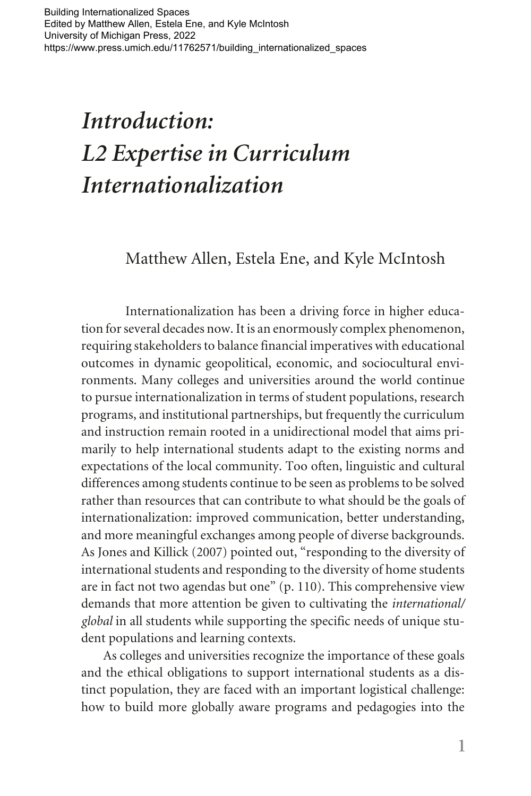# *Introduction: L2 Expertise in Curriculum Internationalization*

#### Matthew Allen, Estela Ene, and Kyle McIntosh

Internationalization has been a driving force in higher education for several decades now. It is an enormously complex phenomenon, requiring stakeholders to balance financial imperatives with educational outcomes in dynamic geopolitical, economic, and sociocultural environments. Many colleges and universities around the world continue to pursue internationalization in terms of student populations, research programs, and institutional partnerships, but frequently the curriculum and instruction remain rooted in a unidirectional model that aims primarily to help international students adapt to the existing norms and expectations of the local community. Too often, linguistic and cultural differences among students continue to be seen as problems to be solved rather than resources that can contribute to what should be the goals of internationalization: improved communication, better understanding, and more meaningful exchanges among people of diverse backgrounds. As Jones and Killick (2007) pointed out, "responding to the diversity of international students and responding to the diversity of home students are in fact not two agendas but one" (p. 110). This comprehensive view demands that more attention be given to cultivating the *international/ global* in all students while supporting the specific needs of unique student populations and learning contexts.

As colleges and universities recognize the importance of these goals and the ethical obligations to support international students as a distinct population, they are faced with an important logistical challenge: how to build more globally aware programs and pedagogies into the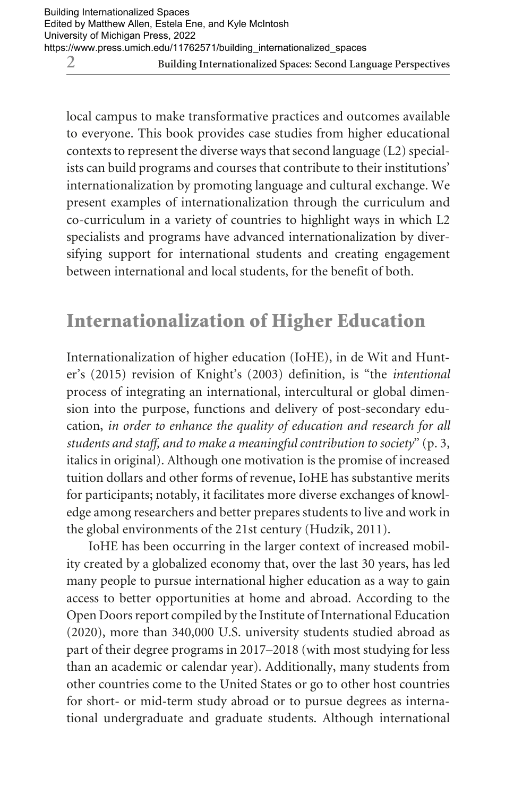local campus to make transformative practices and outcomes available to everyone. This book provides case studies from higher educational contexts to represent the diverse ways that second language (L2) specialists can build programs and courses that contribute to their institutions' internationalization by promoting language and cultural exchange. We present examples of internationalization through the curriculum and co-curriculum in a variety of countries to highlight ways in which L2 specialists and programs have advanced internationalization by diversifying support for international students and creating engagement between international and local students, for the benefit of both.

## Internationalization of Higher Education

Internationalization of higher education (IoHE), in de Wit and Hunter's (2015) revision of Knight's (2003) definition, is "the *intentional*  process of integrating an international, intercultural or global dimension into the purpose, functions and delivery of post-secondary education, *in order to enhance the quality of education and research for all students and staff, and to make a meaningful contribution to society*" (p. 3, italics in original). Although one motivation is the promise of increased tuition dollars and other forms of revenue, IoHE has substantive merits for participants; notably, it facilitates more diverse exchanges of knowledge among researchers and better prepares students to live and work in the global environments of the 21st century (Hudzik, 2011).

IoHE has been occurring in the larger context of increased mobility created by a globalized economy that, over the last 30 years, has led many people to pursue international higher education as a way to gain access to better opportunities at home and abroad. According to the Open Doors report compiled by the Institute of International Education (2020), more than 340,000 U.S. university students studied abroad as part of their degree programs in 2017–2018 (with most studying for less than an academic or calendar year). Additionally, many students from other countries come to the United States or go to other host countries for short- or mid-term study abroad or to pursue degrees as international undergraduate and graduate students. Although international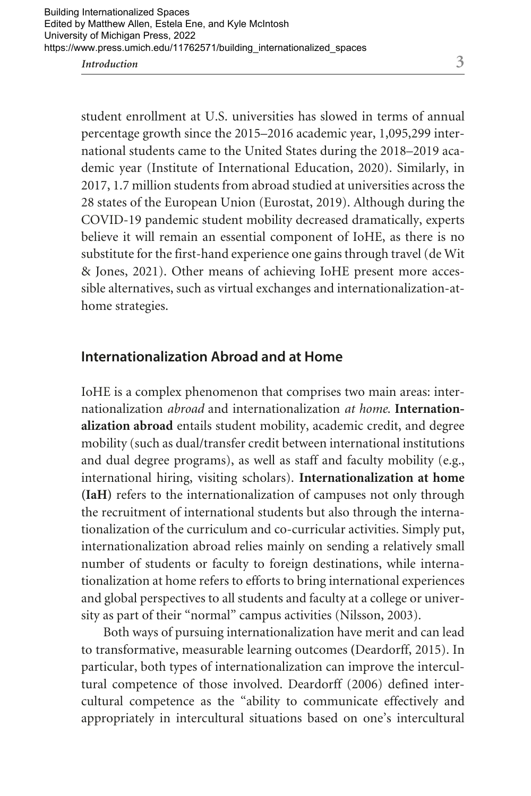student enrollment at U.S. universities has slowed in terms of annual percentage growth since the 2015–2016 academic year, 1,095,299 international students came to the United States during the 2018–2019 academic year (Institute of International Education, 2020). Similarly, in 2017, 1.7 million students from abroad studied at universities across the 28 states of the European Union (Eurostat, 2019). Although during the COVID-19 pandemic student mobility decreased dramatically, experts believe it will remain an essential component of IoHE, as there is no substitute for the first-hand experience one gains through travel (de Wit & Jones, 2021). Other means of achieving IoHE present more accessible alternatives, such as virtual exchanges and internationalization-athome strategies.

#### **Internationalization Abroad and at Home**

IoHE is a complex phenomenon that comprises two main areas: internationalization *abroad* and internationalization *at home*. **Internationalization abroad** entails student mobility, academic credit, and degree mobility (such as dual/transfer credit between international institutions and dual degree programs), as well as staff and faculty mobility (e.g., international hiring, visiting scholars). **Internationalization at home (IaH)** refers to the internationalization of campuses not only through the recruitment of international students but also through the internationalization of the curriculum and co-curricular activities. Simply put, internationalization abroad relies mainly on sending a relatively small number of students or faculty to foreign destinations, while internationalization at home refers to efforts to bring international experiences and global perspectives to all students and faculty at a college or university as part of their "normal" campus activities (Nilsson, 2003).

Both ways of pursuing internationalization have merit and can lead to transformative, measurable learning outcomes **(**Deardorff, 2015). In particular, both types of internationalization can improve the intercultural competence of those involved. Deardorff (2006) defined intercultural competence as the "ability to communicate effectively and appropriately in intercultural situations based on one's intercultural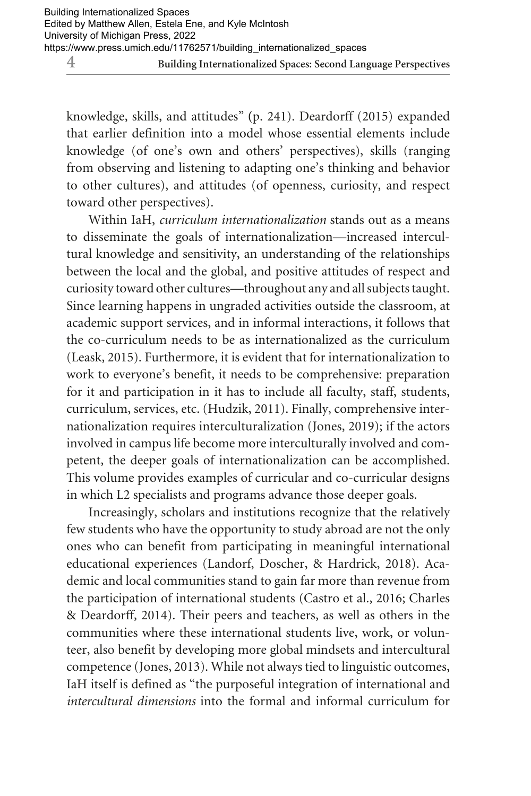**4 Building Internationalized Spaces: Second Language Perspectives**

knowledge, skills, and attitudes" **(**p. 241). Deardorff (2015) expanded that earlier definition into a model whose essential elements include knowledge (of one's own and others' perspectives), skills (ranging from observing and listening to adapting one's thinking and behavior to other cultures), and attitudes (of openness, curiosity, and respect toward other perspectives).

Within IaH, *curriculum internationalization* stands out as a means to disseminate the goals of internationalization—increased intercultural knowledge and sensitivity, an understanding of the relationships between the local and the global, and positive attitudes of respect and curiosity toward other cultures—throughout any and all subjects taught. Since learning happens in ungraded activities outside the classroom, at academic support services, and in informal interactions, it follows that the co-curriculum needs to be as internationalized as the curriculum (Leask, 2015). Furthermore, it is evident that for internationalization to work to everyone's benefit, it needs to be comprehensive: preparation for it and participation in it has to include all faculty, staff, students, curriculum, services, etc. (Hudzik, 2011). Finally, comprehensive internationalization requires interculturalization (Jones, 2019); if the actors involved in campus life become more interculturally involved and competent, the deeper goals of internationalization can be accomplished. This volume provides examples of curricular and co-curricular designs in which L2 specialists and programs advance those deeper goals.

Increasingly, scholars and institutions recognize that the relatively few students who have the opportunity to study abroad are not the only ones who can benefit from participating in meaningful international educational experiences (Landorf, Doscher, & Hardrick, 2018). Academic and local communities stand to gain far more than revenue from the participation of international students (Castro et al., 2016; Charles & Deardorff, 2014). Their peers and teachers, as well as others in the communities where these international students live, work, or volunteer, also benefit by developing more global mindsets and intercultural competence (Jones, 2013). While not always tied to linguistic outcomes, IaH itself is defined as "the purposeful integration of international and *intercultural dimensions* into the formal and informal curriculum for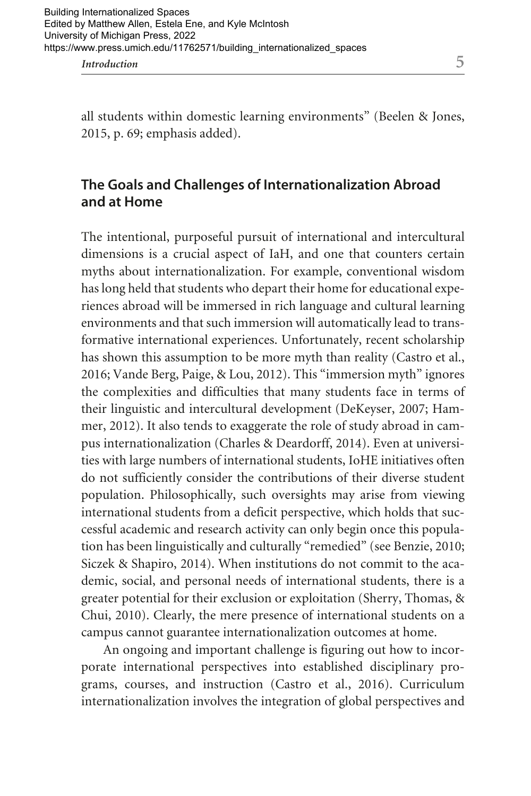all students within domestic learning environments" (Beelen & Jones, 2015, p. 69; emphasis added).

#### **The Goals and Challenges of Internationalization Abroad and at Home**

The intentional, purposeful pursuit of international and intercultural dimensions is a crucial aspect of IaH, and one that counters certain myths about internationalization. For example, conventional wisdom has long held that students who depart their home for educational experiences abroad will be immersed in rich language and cultural learning environments and that such immersion will automatically lead to transformative international experiences. Unfortunately, recent scholarship has shown this assumption to be more myth than reality (Castro et al., 2016; Vande Berg, Paige, & Lou, 2012). This "immersion myth" ignores the complexities and difficulties that many students face in terms of their linguistic and intercultural development (DeKeyser, 2007; Hammer, 2012). It also tends to exaggerate the role of study abroad in campus internationalization (Charles & Deardorff, 2014). Even at universities with large numbers of international students, IoHE initiatives often do not sufficiently consider the contributions of their diverse student population. Philosophically, such oversights may arise from viewing international students from a deficit perspective, which holds that successful academic and research activity can only begin once this population has been linguistically and culturally "remedied" (see Benzie, 2010; Siczek & Shapiro, 2014). When institutions do not commit to the academic, social, and personal needs of international students, there is a greater potential for their exclusion or exploitation (Sherry, Thomas, & Chui, 2010). Clearly, the mere presence of international students on a campus cannot guarantee internationalization outcomes at home.

An ongoing and important challenge is figuring out how to incorporate international perspectives into established disciplinary programs, courses, and instruction (Castro et al., 2016). Curriculum internationalization involves the integration of global perspectives and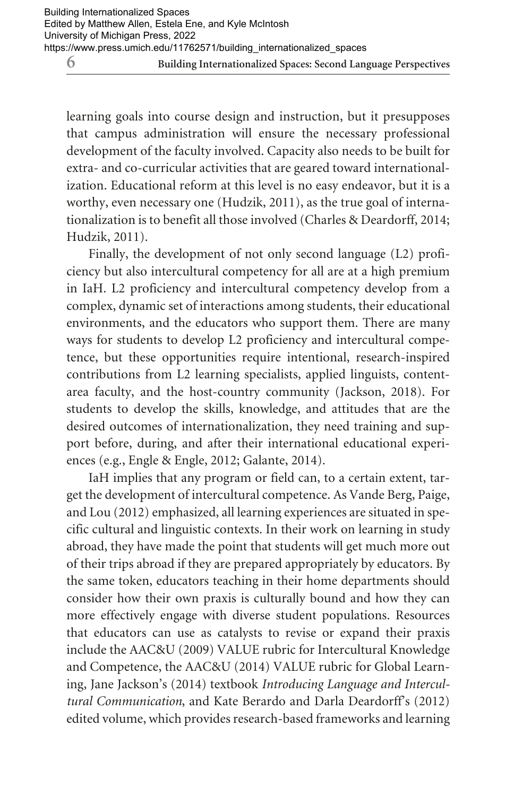learning goals into course design and instruction, but it presupposes that campus administration will ensure the necessary professional development of the faculty involved. Capacity also needs to be built for extra- and co-curricular activities that are geared toward internationalization. Educational reform at this level is no easy endeavor, but it is a worthy, even necessary one (Hudzik, 2011), as the true goal of internationalization is to benefit all those involved (Charles & Deardorff, 2014; Hudzik, 2011).

Finally, the development of not only second language (L2) proficiency but also intercultural competency for all are at a high premium in IaH. L2 proficiency and intercultural competency develop from a complex, dynamic set of interactions among students, their educational environments, and the educators who support them. There are many ways for students to develop L2 proficiency and intercultural competence, but these opportunities require intentional, research-inspired contributions from L2 learning specialists, applied linguists, contentarea faculty, and the host-country community (Jackson, 2018). For students to develop the skills, knowledge, and attitudes that are the desired outcomes of internationalization, they need training and support before, during, and after their international educational experiences (e.g., Engle & Engle, 2012; Galante, 2014).

IaH implies that any program or field can, to a certain extent, target the development of intercultural competence. As Vande Berg, Paige, and Lou (2012) emphasized, all learning experiences are situated in specific cultural and linguistic contexts. In their work on learning in study abroad, they have made the point that students will get much more out of their trips abroad if they are prepared appropriately by educators. By the same token, educators teaching in their home departments should consider how their own praxis is culturally bound and how they can more effectively engage with diverse student populations. Resources that educators can use as catalysts to revise or expand their praxis include the AAC&U (2009) VALUE rubric for Intercultural Knowledge and Competence, the AAC&U (2014) VALUE rubric for Global Learning, Jane Jackson's (2014) textbook *Introducing Language and Intercultural Communication*, and Kate Berardo and Darla Deardorff's (2012) edited volume, which provides research-based frameworks and learning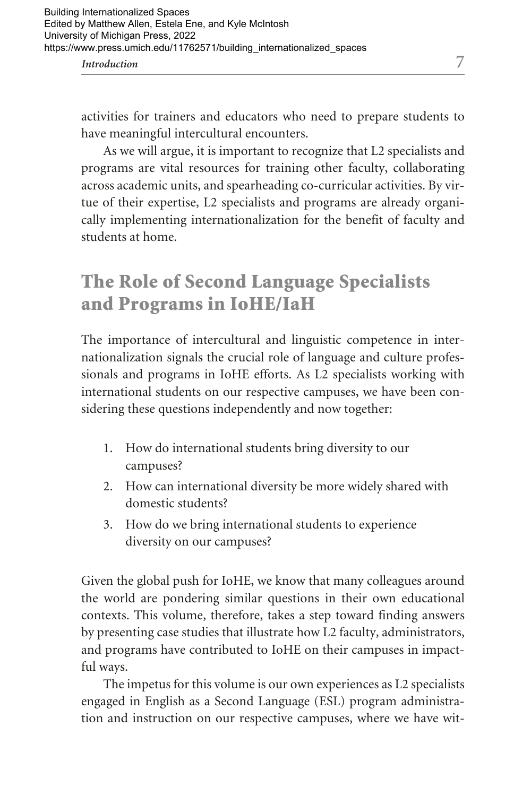activities for trainers and educators who need to prepare students to have meaningful intercultural encounters.

As we will argue, it is important to recognize that L2 specialists and programs are vital resources for training other faculty, collaborating across academic units, and spearheading co-curricular activities. By virtue of their expertise, L2 specialists and programs are already organically implementing internationalization for the benefit of faculty and students at home.

# The Role of Second Language Specialists and Programs in IoHE/IaH

The importance of intercultural and linguistic competence in internationalization signals the crucial role of language and culture professionals and programs in IoHE efforts. As L2 specialists working with international students on our respective campuses, we have been considering these questions independently and now together:

- 1. How do international students bring diversity to our campuses?
- 2. How can international diversity be more widely shared with domestic students?
- 3. How do we bring international students to experience diversity on our campuses?

Given the global push for IoHE, we know that many colleagues around the world are pondering similar questions in their own educational contexts. This volume, therefore, takes a step toward finding answers by presenting case studies that illustrate how L2 faculty, administrators, and programs have contributed to IoHE on their campuses in impactful ways.

The impetus for this volume is our own experiences as L2 specialists engaged in English as a Second Language (ESL) program administration and instruction on our respective campuses, where we have wit-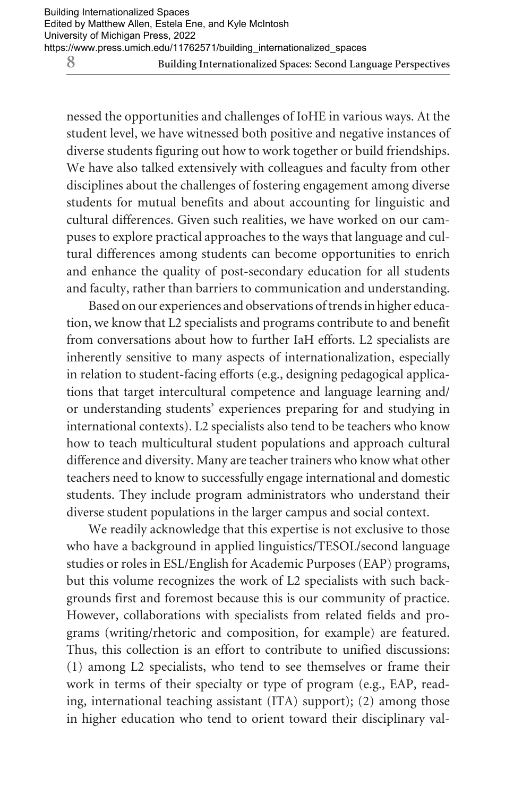nessed the opportunities and challenges of IoHE in various ways. At the student level, we have witnessed both positive and negative instances of diverse students figuring out how to work together or build friendships. We have also talked extensively with colleagues and faculty from other disciplines about the challenges of fostering engagement among diverse students for mutual benefits and about accounting for linguistic and cultural differences. Given such realities, we have worked on our campuses to explore practical approaches to the ways that language and cultural differences among students can become opportunities to enrich and enhance the quality of post-secondary education for all students and faculty, rather than barriers to communication and understanding.

Based on our experiences and observations of trends in higher education, we know that L2 specialists and programs contribute to and benefit from conversations about how to further IaH efforts. L2 specialists are inherently sensitive to many aspects of internationalization, especially in relation to student-facing efforts (e.g., designing pedagogical applications that target intercultural competence and language learning and/ or understanding students' experiences preparing for and studying in international contexts). L2 specialists also tend to be teachers who know how to teach multicultural student populations and approach cultural difference and diversity. Many are teacher trainers who know what other teachers need to know to successfully engage international and domestic students. They include program administrators who understand their diverse student populations in the larger campus and social context.

We readily acknowledge that this expertise is not exclusive to those who have a background in applied linguistics/TESOL/second language studies or roles in ESL/English for Academic Purposes (EAP) programs, but this volume recognizes the work of L2 specialists with such backgrounds first and foremost because this is our community of practice. However, collaborations with specialists from related fields and programs (writing/rhetoric and composition, for example) are featured. Thus, this collection is an effort to contribute to unified discussions: (1) among L2 specialists, who tend to see themselves or frame their work in terms of their specialty or type of program (e.g., EAP, reading, international teaching assistant (ITA) support); (2) among those in higher education who tend to orient toward their disciplinary val-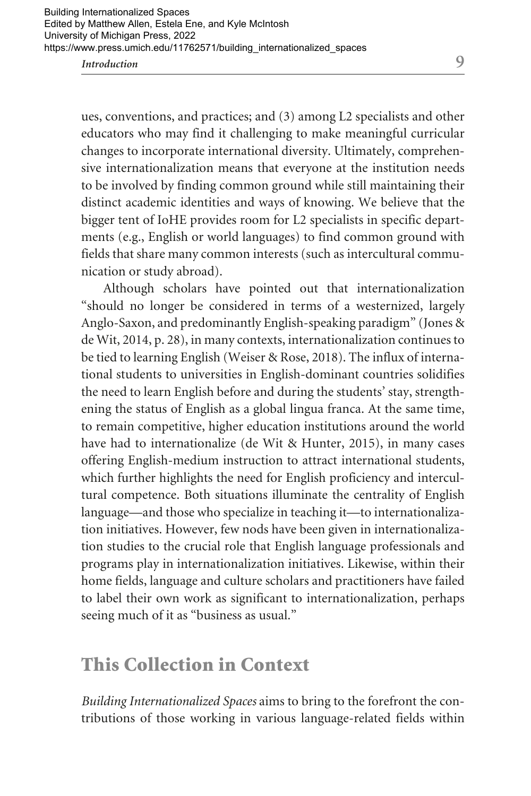ues, conventions, and practices; and (3) among L2 specialists and other educators who may find it challenging to make meaningful curricular changes to incorporate international diversity. Ultimately, comprehensive internationalization means that everyone at the institution needs to be involved by finding common ground while still maintaining their distinct academic identities and ways of knowing. We believe that the bigger tent of IoHE provides room for L2 specialists in specific departments (e.g., English or world languages) to find common ground with fields that share many common interests (such as intercultural communication or study abroad).

Although scholars have pointed out that internationalization "should no longer be considered in terms of a westernized, largely Anglo-Saxon, and predominantly English-speaking paradigm" (Jones & de Wit, 2014, p. 28), in many contexts, internationalization continues to be tied to learning English (Weiser & Rose, 2018). The influx of international students to universities in English-dominant countries solidifies the need to learn English before and during the students' stay, strengthening the status of English as a global lingua franca. At the same time, to remain competitive, higher education institutions around the world have had to internationalize (de Wit & Hunter, 2015), in many cases offering English-medium instruction to attract international students, which further highlights the need for English proficiency and intercultural competence. Both situations illuminate the centrality of English language—and those who specialize in teaching it—to internationalization initiatives. However, few nods have been given in internationalization studies to the crucial role that English language professionals and programs play in internationalization initiatives. Likewise, within their home fields, language and culture scholars and practitioners have failed to label their own work as significant to internationalization, perhaps seeing much of it as "business as usual."

### This Collection in Context

*Building Internationalized Spaces* aims to bring to the forefront the contributions of those working in various language-related fields within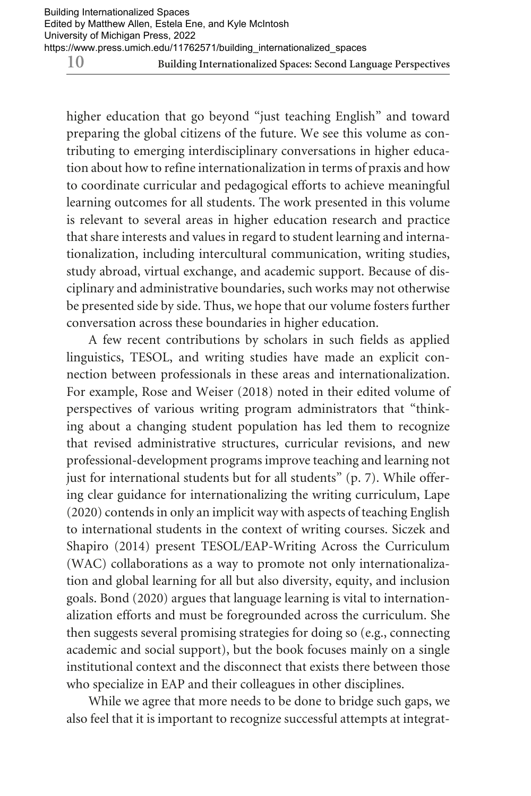higher education that go beyond "just teaching English" and toward preparing the global citizens of the future. We see this volume as contributing to emerging interdisciplinary conversations in higher education about how to refine internationalization in terms of praxis and how to coordinate curricular and pedagogical efforts to achieve meaningful learning outcomes for all students. The work presented in this volume is relevant to several areas in higher education research and practice that share interests and values in regard to student learning and internationalization, including intercultural communication, writing studies, study abroad, virtual exchange, and academic support. Because of disciplinary and administrative boundaries, such works may not otherwise be presented side by side. Thus, we hope that our volume fosters further conversation across these boundaries in higher education.

A few recent contributions by scholars in such fields as applied linguistics, TESOL, and writing studies have made an explicit connection between professionals in these areas and internationalization. For example, Rose and Weiser (2018) noted in their edited volume of perspectives of various writing program administrators that "thinking about a changing student population has led them to recognize that revised administrative structures, curricular revisions, and new professional-development programs improve teaching and learning not just for international students but for all students" (p. 7). While offering clear guidance for internationalizing the writing curriculum, Lape (2020) contends in only an implicit way with aspects of teaching English to international students in the context of writing courses. Siczek and Shapiro (2014) present TESOL/EAP-Writing Across the Curriculum (WAC) collaborations as a way to promote not only internationalization and global learning for all but also diversity, equity, and inclusion goals. Bond (2020) argues that language learning is vital to internationalization efforts and must be foregrounded across the curriculum. She then suggests several promising strategies for doing so (e.g., connecting academic and social support), but the book focuses mainly on a single institutional context and the disconnect that exists there between those who specialize in EAP and their colleagues in other disciplines.

While we agree that more needs to be done to bridge such gaps, we also feel that it is important to recognize successful attempts at integrat-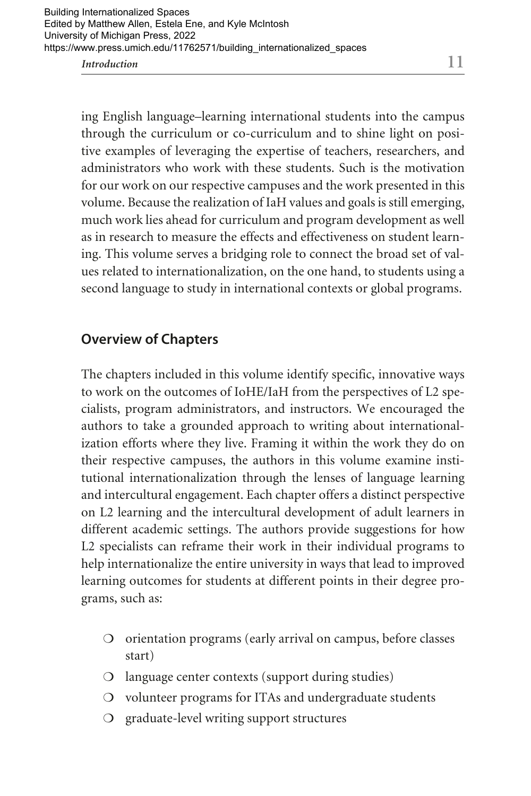ing English language–learning international students into the campus through the curriculum or co-curriculum and to shine light on positive examples of leveraging the expertise of teachers, researchers, and administrators who work with these students. Such is the motivation for our work on our respective campuses and the work presented in this volume. Because the realization of IaH values and goals is still emerging, much work lies ahead for curriculum and program development as well as in research to measure the effects and effectiveness on student learning. This volume serves a bridging role to connect the broad set of values related to internationalization, on the one hand, to students using a second language to study in international contexts or global programs.

#### **Overview of Chapters**

The chapters included in this volume identify specific, innovative ways to work on the outcomes of IoHE/IaH from the perspectives of L2 specialists, program administrators, and instructors. We encouraged the authors to take a grounded approach to writing about internationalization efforts where they live. Framing it within the work they do on their respective campuses, the authors in this volume examine institutional internationalization through the lenses of language learning and intercultural engagement. Each chapter offers a distinct perspective on L2 learning and the intercultural development of adult learners in different academic settings. The authors provide suggestions for how L2 specialists can reframe their work in their individual programs to help internationalize the entire university in ways that lead to improved learning outcomes for students at different points in their degree programs, such as:

- ❍ orientation programs (early arrival on campus, before classes start)
- ❍ language center contexts (support during studies)
- ❍ volunteer programs for ITAs and undergraduate students
- ❍ graduate-level writing support structures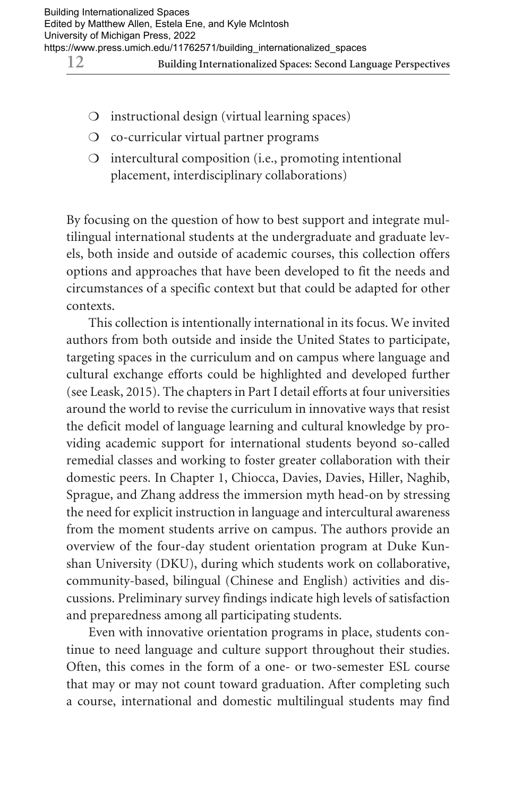- ❍ instructional design (virtual learning spaces)
- ❍ co-curricular virtual partner programs
- ❍ intercultural composition (i.e., promoting intentional placement, interdisciplinary collaborations)

By focusing on the question of how to best support and integrate multilingual international students at the undergraduate and graduate levels, both inside and outside of academic courses, this collection offers options and approaches that have been developed to fit the needs and circumstances of a specific context but that could be adapted for other contexts.

This collection is intentionally international in its focus. We invited authors from both outside and inside the United States to participate, targeting spaces in the curriculum and on campus where language and cultural exchange efforts could be highlighted and developed further (see Leask, 2015). The chapters in Part I detail efforts at four universities around the world to revise the curriculum in innovative ways that resist the deficit model of language learning and cultural knowledge by providing academic support for international students beyond so-called remedial classes and working to foster greater collaboration with their domestic peers. In Chapter 1, Chiocca, Davies, Davies, Hiller, Naghib, Sprague, and Zhang address the immersion myth head-on by stressing the need for explicit instruction in language and intercultural awareness from the moment students arrive on campus. The authors provide an overview of the four-day student orientation program at Duke Kunshan University (DKU), during which students work on collaborative, community-based, bilingual (Chinese and English) activities and discussions. Preliminary survey findings indicate high levels of satisfaction and preparedness among all participating students.

Even with innovative orientation programs in place, students continue to need language and culture support throughout their studies. Often, this comes in the form of a one- or two-semester ESL course that may or may not count toward graduation. After completing such a course, international and domestic multilingual students may find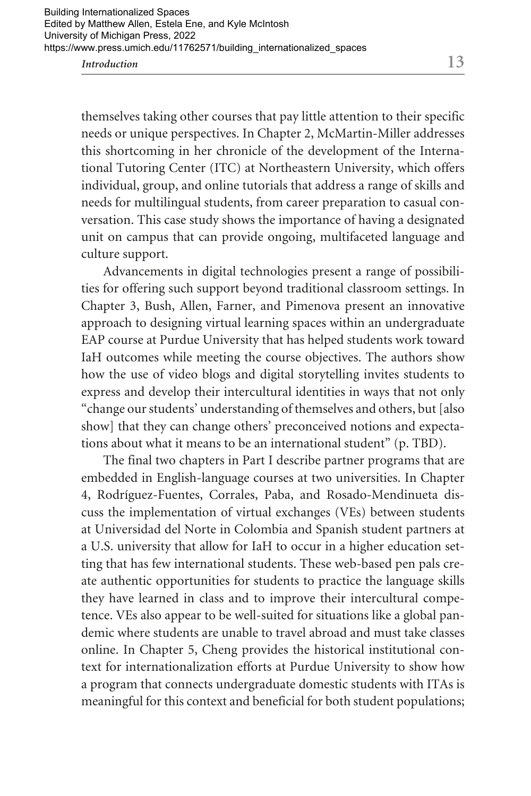themselves taking other courses that pay little attention to their specific needs or unique perspectives. In Chapter 2, McMartin-Miller addresses this shortcoming in her chronicle of the development of the International Tutoring Center (ITC) at Northeastern University, which offers individual, group, and online tutorials that address a range of skills and needs for multilingual students, from career preparation to casual conversation. This case study shows the importance of having a designated unit on campus that can provide ongoing, multifaceted language and culture support.

Advancements in digital technologies present a range of possibilities for offering such support beyond traditional classroom settings. In Chapter 3, Bush, Allen, Farner, and Pimenova present an innovative approach to designing virtual learning spaces within an undergraduate EAP course at Purdue University that has helped students work toward IaH outcomes while meeting the course objectives. The authors show how the use of video blogs and digital storytelling invites students to express and develop their intercultural identities in ways that not only "change our students' understanding of themselves and others, but [also show] that they can change others' preconceived notions and expectations about what it means to be an international student" (p. TBD).

The final two chapters in Part I describe partner programs that are embedded in English-language courses at two universities. In Chapter 4, Rodríguez-Fuentes, Corrales, Paba, and Rosado-Mendinueta discuss the implementation of virtual exchanges (VEs) between students at Universidad del Norte in Colombia and Spanish student partners at a U.S. university that allow for IaH to occur in a higher education setting that has few international students. These web-based pen pals create authentic opportunities for students to practice the language skills they have learned in class and to improve their intercultural competence. VEs also appear to be well-suited for situations like a global pandemic where students are unable to travel abroad and must take classes online. In Chapter 5, Cheng provides the historical institutional context for internationalization efforts at Purdue University to show how a program that connects undergraduate domestic students with ITAs is meaningful for this context and beneficial for both student populations;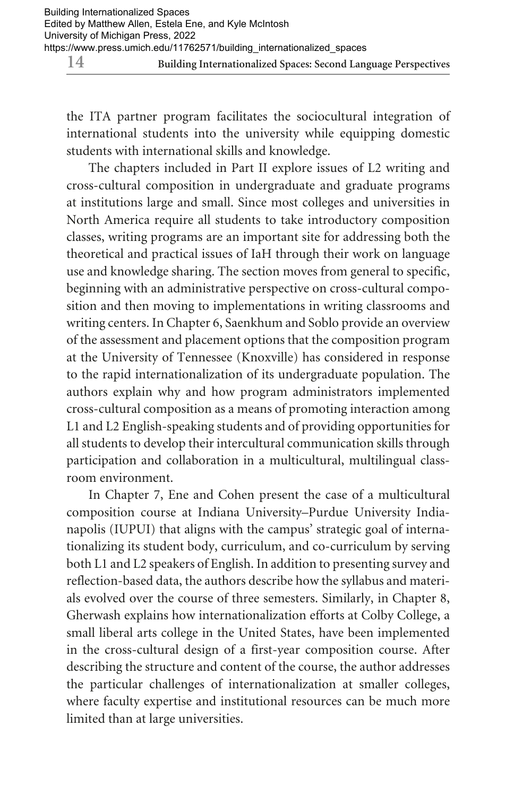the ITA partner program facilitates the sociocultural integration of international students into the university while equipping domestic students with international skills and knowledge.

The chapters included in Part II explore issues of L2 writing and cross-cultural composition in undergraduate and graduate programs at institutions large and small. Since most colleges and universities in North America require all students to take introductory composition classes, writing programs are an important site for addressing both the theoretical and practical issues of IaH through their work on language use and knowledge sharing. The section moves from general to specific, beginning with an administrative perspective on cross-cultural composition and then moving to implementations in writing classrooms and writing centers. In Chapter 6, Saenkhum and Soblo provide an overview of the assessment and placement options that the composition program at the University of Tennessee (Knoxville) has considered in response to the rapid internationalization of its undergraduate population. The authors explain why and how program administrators implemented cross-cultural composition as a means of promoting interaction among L1 and L2 English-speaking students and of providing opportunities for all students to develop their intercultural communication skills through participation and collaboration in a multicultural, multilingual classroom environment.

In Chapter 7, Ene and Cohen present the case of a multicultural composition course at Indiana University–Purdue University Indianapolis (IUPUI) that aligns with the campus' strategic goal of internationalizing its student body, curriculum, and co-curriculum by serving both L1 and L2 speakers of English. In addition to presenting survey and reflection-based data, the authors describe how the syllabus and materials evolved over the course of three semesters. Similarly, in Chapter 8, Gherwash explains how internationalization efforts at Colby College, a small liberal arts college in the United States, have been implemented in the cross-cultural design of a first-year composition course. After describing the structure and content of the course, the author addresses the particular challenges of internationalization at smaller colleges, where faculty expertise and institutional resources can be much more limited than at large universities.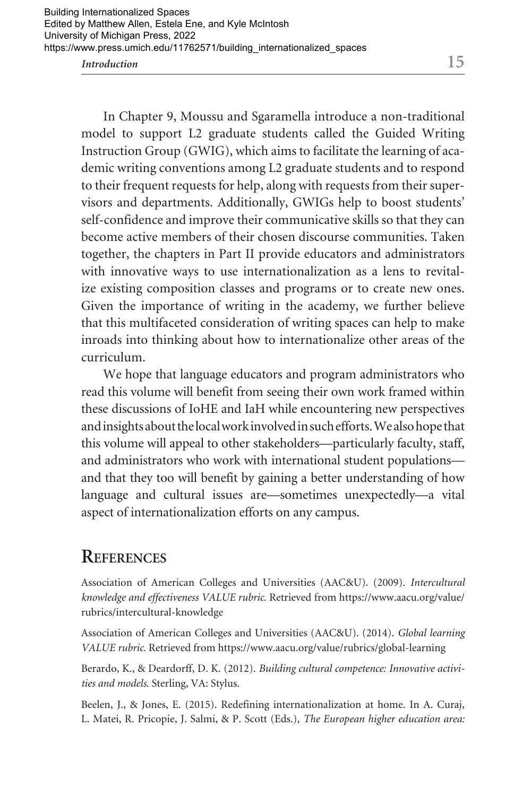In Chapter 9, Moussu and Sgaramella introduce a non-traditional model to support L2 graduate students called the Guided Writing Instruction Group (GWIG), which aims to facilitate the learning of academic writing conventions among L2 graduate students and to respond to their frequent requests for help, along with requests from their supervisors and departments. Additionally, GWIGs help to boost students' self-confidence and improve their communicative skills so that they can become active members of their chosen discourse communities. Taken together, the chapters in Part II provide educators and administrators with innovative ways to use internationalization as a lens to revitalize existing composition classes and programs or to create new ones. Given the importance of writing in the academy, we further believe that this multifaceted consideration of writing spaces can help to make inroads into thinking about how to internationalize other areas of the curriculum.

We hope that language educators and program administrators who read this volume will benefit from seeing their own work framed within these discussions of IoHE and IaH while encountering new perspectives and insights about the local work involved in such efforts. We also hope that this volume will appeal to other stakeholders—particularly faculty, staff, and administrators who work with international student populations and that they too will benefit by gaining a better understanding of how language and cultural issues are—sometimes unexpectedly—a vital aspect of internationalization efforts on any campus.

#### **REFERENCES**

Association of American Colleges and Universities (AAC&U). (2009). *Intercultural knowledge and effectiveness VALUE rubric.* Retrieved from <https://www.aacu.org/value>/ rubrics/intercultural-knowledge

Association of American Colleges and Universities (AAC&U). (2014). *Global learning VALUE rubric.* Retrieved from<https://www.aacu.org/value/rubrics/global-learning>

Berardo, K., & Deardorff, D. K. (2012). *Building cultural competence: Innovative activities and models*. Sterling, VA: Stylus.

Beelen, J., & Jones, E. (2015). Redefining internationalization at home. In A. Curaj, L. Matei, R. Pricopie, J. Salmi, & P. Scott (Eds.), *The European higher education area:*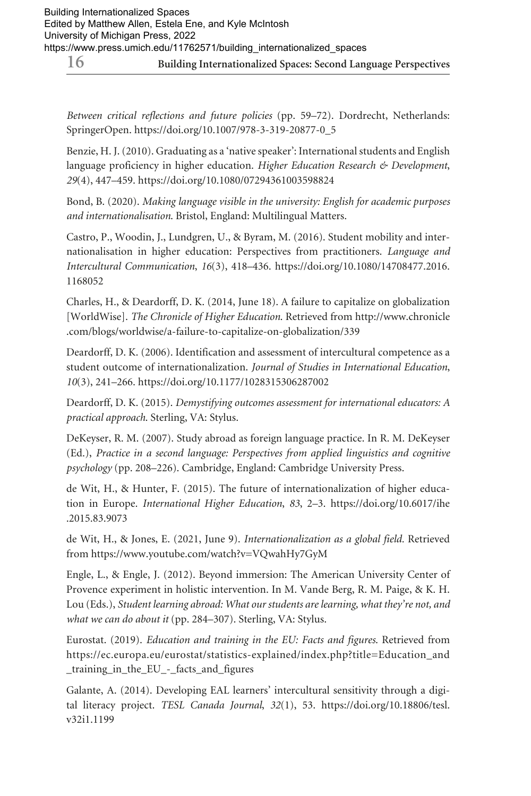*Between critical reflections and future policies* (pp. 59–72). Dordrecht, Netherlands: SpringerOpen. [https://doi.org/10.1007/978-3-319-20877-0\\_5](https://doi.org/10.1007/978-3-319-20877-0_5)

Benzie, H. J. (2010). Graduating as a 'native speaker': International students and English language proficiency in higher education. *Higher Education Research & Development*, *29*(4), 447–459.<https://doi.org/10.1080/07294361003598824>

Bond, B. (2020). *Making language visible in the university: English for academic purposes and internationalisation*. Bristol, England: Multilingual Matters.

Castro, P., Woodin, J., Lundgren, U., & Byram, M. (2016). Student mobility and internationalisation in higher education: Perspectives from practitioners. *Language and Intercultural Communication*, *16*(3), 418–436. [https://doi.org/10.1080/14708477.2016.](https://doi.org/10.1080/14708477.2016) 1168052

Charles, H., & Deardorff, D. K. (2014, June 18). A failure to capitalize on globalization [WorldWise]. *The Chronicle of Higher Education*. Retrieved from <http://www.chronicle> .com/blogs/worldwise/a-failure-to-capitalize-on-globalization/339

Deardorff, D. K. (2006). Identification and assessment of intercultural competence as a student outcome of internationalization. *Journal of Studies in International Education*, *10*(3), 241–266.<https://doi.org/10.1177/1028315306287002>

Deardorff, D. K. (2015). *Demystifying outcomes assessment for international educators: A practical approach*. Sterling, VA: Stylus.

DeKeyser, R. M. (2007). Study abroad as foreign language practice. In R. M. DeKeyser (Ed.), *Practice in a second language: Perspectives from applied linguistics and cognitive psychology* (pp. 208–226). Cambridge, England: Cambridge University Press.

de Wit, H., & Hunter, F. (2015). The future of internationalization of higher education in Europe. *International Higher Education*, *83*, 2–3. <https://doi.org/10.6017/ihe> .2015.83.9073

de Wit, H., & Jones, E. (2021, June 9). *Internationalization as a global field.* Retrieved from<https://www.youtube.com/watch?v=VQwahHy7GyM>

Engle, L., & Engle, J. (2012). Beyond immersion: The American University Center of Provence experiment in holistic intervention. In M. Vande Berg, R. M. Paige, & K. H. Lou (Eds.), *Student learning abroad: What our students are learning, what they're not, and what we can do about it* (pp. 284–307). Sterling, VA: Stylus.

Eurostat. (2019). *Education and training in the EU: Facts and figures*. Retrieved from [https://ec.europa.eu/eurostat/statistics-explained/index.php?title=Education\\_and](https://ec.europa.eu/eurostat/statistics-explained/index.php?title=Education_and) \_training\_in\_the\_EU\_-\_facts\_and\_figures

Galante, A. (2014). Developing EAL learners' intercultural sensitivity through a digital literacy project. *TESL Canada Journal*, *32*(1), 53. [https://doi.org/10.18806/tesl.](https://doi.org/10.18806/tesl) v32i1.1199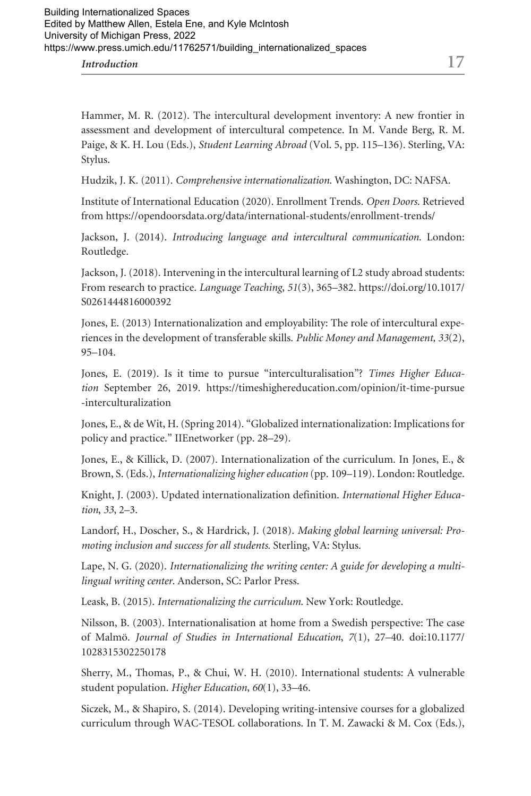Hammer, M. R. (2012). The intercultural development inventory: A new frontier in assessment and development of intercultural competence. In M. Vande Berg, R. M. Paige, & K. H. Lou (Eds.), *Student Learning Abroad* (Vol. 5, pp. 115–136). Sterling, VA: Stylus.

Hudzik, J. K. (2011). *Comprehensive internationalization*. Washington, DC: NAFSA.

Institute of International Education (2020). Enrollment Trends. *Open Doors*. Retrieved from<https://opendoorsdata.org/data/international-students/enrollment-trends>/

Jackson, J. (2014). *Introducing language and intercultural communication*. London: Routledge.

Jackson, J. (2018). Intervening in the intercultural learning of L2 study abroad students: From research to practice. *Language Teaching*, *51*(3), 365–382. <https://doi.org/10.1017>/ S0261444816000392

Jones, E. (2013) Internationalization and employability: The role of intercultural experiences in the development of transferable skills. *Public Money and Management, 33*(2), 95–104.

Jones, E. (2019). Is it time to pursue "interculturalisation"? *Times Higher Education* September 26, 2019. <https://timeshighereducation.com/opinion/it-time-pursue> -interculturalization

Jones, E., & de Wit, H. (Spring 2014). "Globalized internationalization: Implications for policy and practice." IIEnetworker (pp. 28–29).

Jones, E., & Killick, D. (2007). Internationalization of the curriculum. In Jones, E., & Brown, S. (Eds.), *Internationalizing higher education* (pp. 109–119). London: Routledge.

Knight, J. (2003). Updated internationalization definition. *International Higher Education*, *33*, 2–3.

Landorf, H., Doscher, S., & Hardrick, J. (2018). *Making global learning universal: Promoting inclusion and success for all students.* Sterling, VA: Stylus.

Lape, N. G. (2020). *Internationalizing the writing center: A guide for developing a multilingual writing center*. Anderson, SC: Parlor Press.

Leask, B. (2015). *Internationalizing the curriculum*. New York: Routledge.

Nilsson, B. (2003). Internationalisation at home from a Swedish perspective: The case of Malmö. *Journal of Studies in International Education*, *7*(1), 27–40. doi:10.1177/ 1028315302250178

Sherry, M., Thomas, P., & Chui, W. H. (2010). International students: A vulnerable student population. *Higher Education*, *60*(1), 33–46.

Siczek, M., & Shapiro, S. (2014). Developing writing-intensive courses for a globalized curriculum through WAC-TESOL collaborations. In T. M. Zawacki & M. Cox (Eds.),